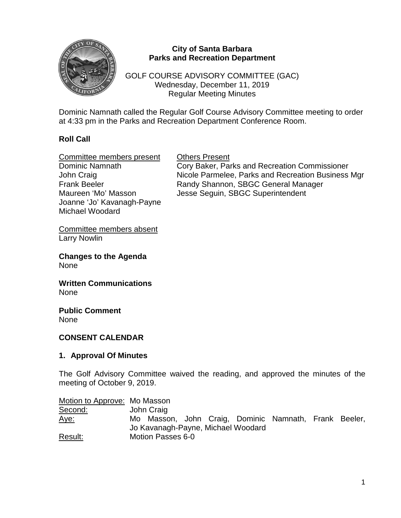

## **City of Santa Barbara Parks and Recreation Department**

GOLF COURSE ADVISORY COMMITTEE (GAC) Wednesday, December 11, 2019 Regular Meeting Minutes

Dominic Namnath called the Regular Golf Course Advisory Committee meeting to order at 4:33 pm in the Parks and Recreation Department Conference Room.

## **Roll Call**

Committee members present Cthers Present<br>Dominic Namnath Cory Baker, Par Joanne 'Jo' Kavanagh-Payne Michael Woodard

Cory Baker, Parks and Recreation Commissioner John Craig Nicole Parmelee, Parks and Recreation Business Mgr Frank Beeler **Randy Shannon, SBGC General Manager** Maureen 'Mo' Masson Jesse Seguin, SBGC Superintendent

Committee members absent Larry Nowlin

**Changes to the Agenda** None

**Written Communications** None

**Public Comment** None

#### **CONSENT CALENDAR**

#### **1. Approval Of Minutes**

The Golf Advisory Committee waived the reading, and approved the minutes of the meeting of October 9, 2019.

| Motion to Approve: Mo Masson |                   |                                    |  |  |  |                                                       |  |  |  |
|------------------------------|-------------------|------------------------------------|--|--|--|-------------------------------------------------------|--|--|--|
| Second:                      | John Craig        |                                    |  |  |  |                                                       |  |  |  |
| <u>Aye:</u>                  |                   |                                    |  |  |  | Mo Masson, John Craig, Dominic Namnath, Frank Beeler, |  |  |  |
|                              |                   | Jo Kavanagh-Payne, Michael Woodard |  |  |  |                                                       |  |  |  |
| Result:                      | Motion Passes 6-0 |                                    |  |  |  |                                                       |  |  |  |